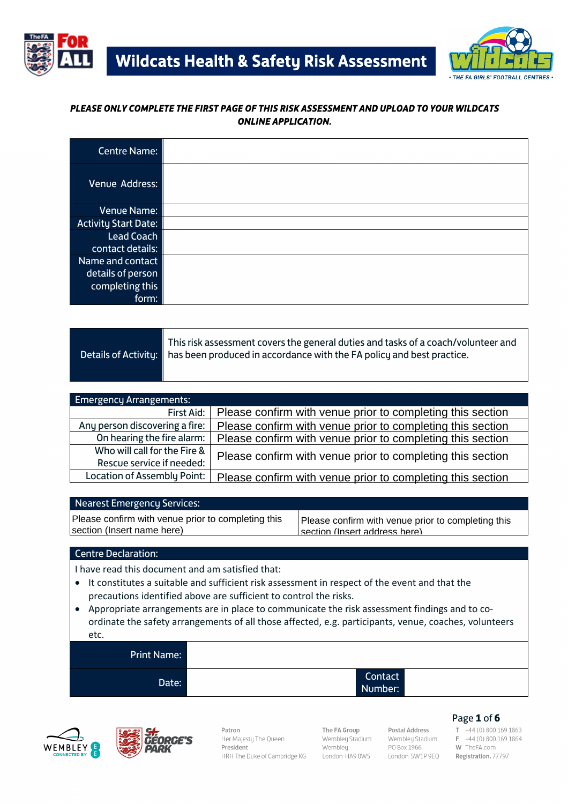



#### *PLEASE ONLY COMPLETE THE FIRST PAGE OF THIS RISK ASSESSMENT AND UPLOAD TO YOUR WILDCATS ONLINE APPLICATION.*

| <b>Centre Name:</b>                                               |  |
|-------------------------------------------------------------------|--|
| Venue Address:                                                    |  |
| Venue Name:                                                       |  |
| <b>Activity Start Date:</b>                                       |  |
| <b>Lead Coach</b>                                                 |  |
| contact details:                                                  |  |
| Name and contact<br>details of person<br>completing this<br>form: |  |

| This risk assessment covers the general duties and tasks of a coach/volunteer and<br>Details of Activity: has been produced in accordance with the FA policy and best practice. |
|---------------------------------------------------------------------------------------------------------------------------------------------------------------------------------|
|                                                                                                                                                                                 |

| <b>Emergency Arrangements:</b> |                                                            |
|--------------------------------|------------------------------------------------------------|
| First Aid:                     | Please confirm with venue prior to completing this section |
| Any person discovering a fire: | Please confirm with venue prior to completing this section |
| On hearing the fire alarm:     | Please confirm with venue prior to completing this section |
| Who will call for the Fire &   | Please confirm with venue prior to completing this section |
| Rescue service if needed:      |                                                            |
| Location of Assembly Point:    | Please confirm with venue prior to completing this section |

#### Nearest Emergency Services:

Please confirm with venue prior to completing this section (Insert name here)

Please confirm with venue prior to completing this section (Insert address here)

#### Centre Declaration:

I have read this document and am satisfied that:

- It constitutes a suitable and sufficient risk assessment in respect of the event and that the precautions identified above are sufficient to control the risks.
- Appropriate arrangements are in place to communicate the risk assessment findings and to coordinate the safety arrangements of all those affected, e.g. participants, venue, coaches, volunteers etc.

| <b>Print Name:</b> |                    |
|--------------------|--------------------|
| Date:              | Contact<br>Number: |





Patron Her Majesty The Queen President HRH The Duke of Cambridge KG

The FA Group Wembley Stadium Wembley London HA9 0WS

Postal Address Wembley Stadium PO Box 1966 London SW1P 9EQ

# **Page 1 of 6**<br> **T** +44 (0) 800 169 1863

F +44 (0) 800 169 1864 W TheFA.com Registration. 77797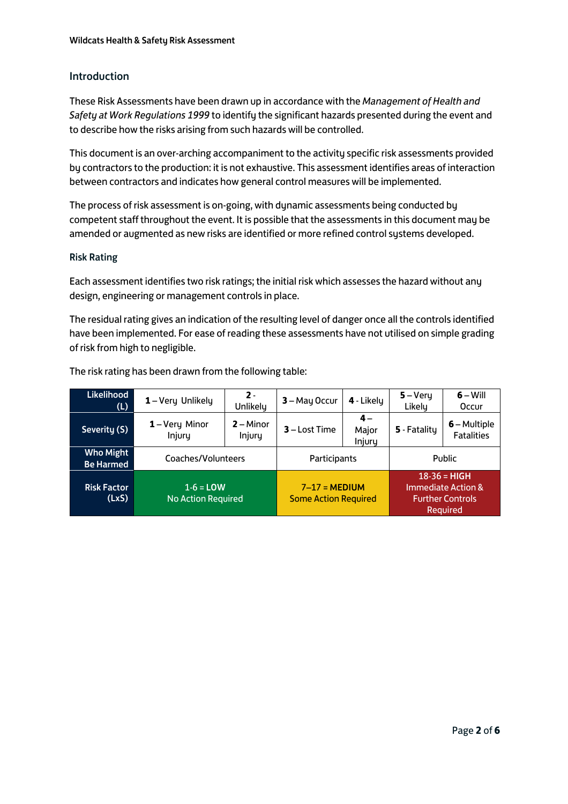### Introduction

These Risk Assessments have been drawn up in accordance with the *Management of Health and Safety at Work Regulations 1999* to identify the significant hazards presented during the event and to describe how the risks arising from such hazards will be controlled.

This document is an over-arching accompaniment to the activity specific risk assessments provided by contractors to the production: it is not exhaustive. This assessment identifies areas of interaction between contractors and indicates how general control measures will be implemented.

The process of risk assessment is on-going, with dynamic assessments being conducted by competent staff throughout the event. It is possible that the assessments in this document may be amended or augmented as new risks are identified or more refined control systems developed.

#### Risk Rating

Each assessment identifies two risk ratings; the initial risk which assesses the hazard without any design, engineering or management controls in place.

The residual rating gives an indication of the resulting level of danger once all the controls identified have been implemented. For ease of reading these assessments have not utilised on simple grading of risk from high to negligible.

| Likelihood<br>(L)                    | 1-Very Unlikely                          | $2 -$<br>Unlikely     | 3 - May Occur                                  | 4 - Likely              | $5 - V$ ery<br>Likely | $6 - Will$<br>Occur                                                           |
|--------------------------------------|------------------------------------------|-----------------------|------------------------------------------------|-------------------------|-----------------------|-------------------------------------------------------------------------------|
| Severity (S)                         | 1-Very Minor<br>Injury                   | $2 -$ Minor<br>Injury | $3 -$ Lost Time                                | $4-$<br>Major<br>Injury | 5 - Fatality          | $6 -$ Multiple<br><b>Fatalities</b>                                           |
| <b>Who Might</b><br><b>Be Harmed</b> | Coaches/Volunteers                       |                       | Participants                                   |                         |                       | Public                                                                        |
| <b>Risk Factor</b><br>(LxS)          | $1-6 =$ LOW<br><b>No Action Required</b> |                       | $7-17 = MEDIUM$<br><b>Some Action Required</b> |                         |                       | $18 - 36 = HIGH$<br>Immediate Action &<br><b>Further Controls</b><br>Required |

The risk rating has been drawn from the following table: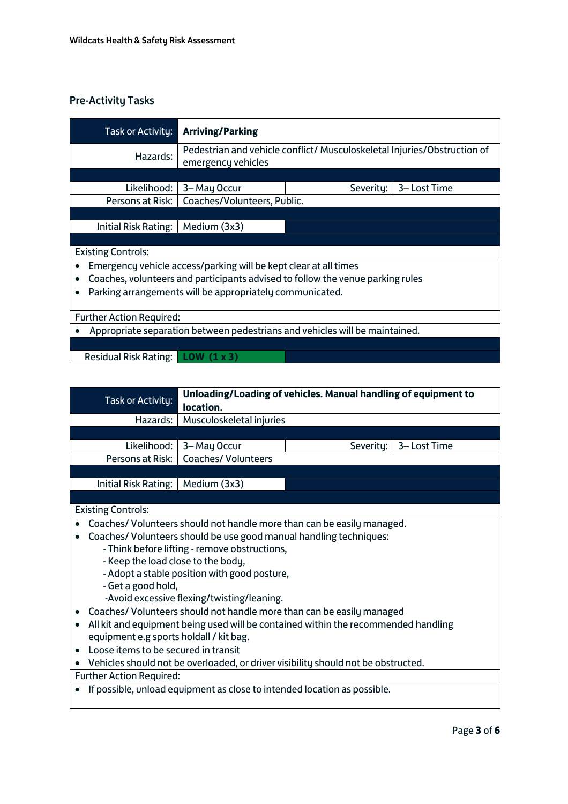## Pre-Activity Tasks

| Task or Activity:                                                              | <b>Arriving/Parking</b>                                                                        |                          |  |  |  |  |
|--------------------------------------------------------------------------------|------------------------------------------------------------------------------------------------|--------------------------|--|--|--|--|
| Hazards:                                                                       | Pedestrian and vehicle conflict/ Musculoskeletal Injuries/Obstruction of<br>emergency vehicles |                          |  |  |  |  |
|                                                                                |                                                                                                |                          |  |  |  |  |
| Likelihood:                                                                    | 3-May Occur                                                                                    | 3-Lost Time<br>Severity: |  |  |  |  |
| Persons at Risk:                                                               | Coaches/Volunteers, Public.                                                                    |                          |  |  |  |  |
|                                                                                |                                                                                                |                          |  |  |  |  |
| Initial Risk Rating:                                                           | Medium (3x3)                                                                                   |                          |  |  |  |  |
|                                                                                |                                                                                                |                          |  |  |  |  |
| <b>Existing Controls:</b>                                                      |                                                                                                |                          |  |  |  |  |
| Emergency vehicle access/parking will be kept clear at all times               |                                                                                                |                          |  |  |  |  |
| Coaches, volunteers and participants advised to follow the venue parking rules |                                                                                                |                          |  |  |  |  |
|                                                                                | Parking arrangements will be appropriately communicated.                                       |                          |  |  |  |  |
|                                                                                |                                                                                                |                          |  |  |  |  |
| <b>Further Action Required:</b>                                                |                                                                                                |                          |  |  |  |  |
| Appropriate separation between pedestrians and vehicles will be maintained.    |                                                                                                |                          |  |  |  |  |
|                                                                                |                                                                                                |                          |  |  |  |  |
| <b>Residual Risk Rating:</b><br>LOW (1 x 3)                                    |                                                                                                |                          |  |  |  |  |

| Task or Activity:                                                                                                   | Unloading/Loading of vehicles. Manual handling of equipment to<br>location. |           |              |  |  |  |
|---------------------------------------------------------------------------------------------------------------------|-----------------------------------------------------------------------------|-----------|--------------|--|--|--|
| Hazards:                                                                                                            | Musculoskeletal injuries                                                    |           |              |  |  |  |
|                                                                                                                     |                                                                             |           |              |  |  |  |
| Likelihood:                                                                                                         | 3-May Occur                                                                 | Severity: | 3– Lost Time |  |  |  |
| Persons at Risk:                                                                                                    | <b>Coaches/ Volunteers</b>                                                  |           |              |  |  |  |
|                                                                                                                     |                                                                             |           |              |  |  |  |
| Initial Risk Rating:                                                                                                | Medium (3x3)                                                                |           |              |  |  |  |
|                                                                                                                     |                                                                             |           |              |  |  |  |
| <b>Existing Controls:</b>                                                                                           |                                                                             |           |              |  |  |  |
| Coaches/ Volunteers should not handle more than can be easily managed.                                              |                                                                             |           |              |  |  |  |
| Coaches/ Volunteers should be use good manual handling techniques:<br>- Think before lifting - remove obstructions, |                                                                             |           |              |  |  |  |
|                                                                                                                     | - Keep the load close to the body,                                          |           |              |  |  |  |
| - Adopt a stable position with good posture,                                                                        |                                                                             |           |              |  |  |  |
| - Get a good hold,                                                                                                  |                                                                             |           |              |  |  |  |
| -Avoid excessive flexing/twisting/leaning.                                                                          |                                                                             |           |              |  |  |  |
| Coaches/Volunteers should not handle more than can be easily managed                                                |                                                                             |           |              |  |  |  |
| All kit and equipment being used will be contained within the recommended handling                                  |                                                                             |           |              |  |  |  |

- equipment e.g sports holdall / kit bag.
- Loose items to be secured in transit

• Vehicles should not be overloaded, or driver visibility should not be obstructed. Further Action Required:

• If possible, unload equipment as close to intended location as possible.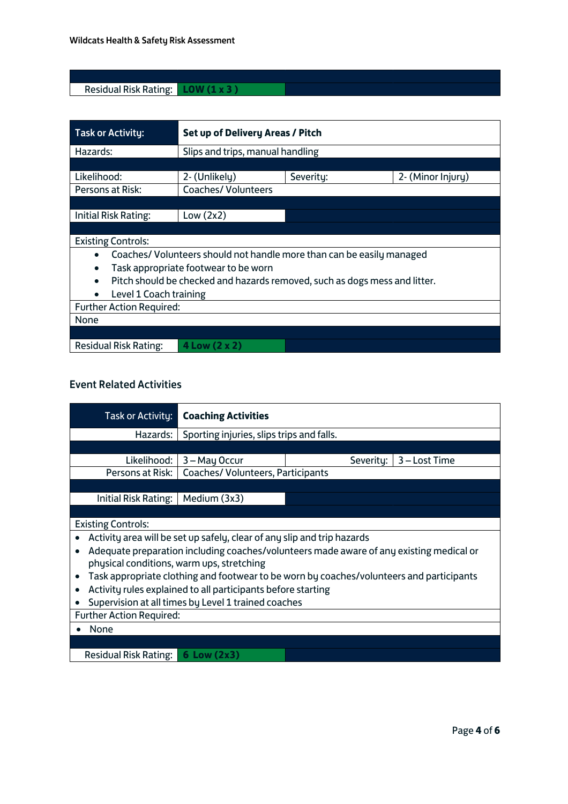## Residual Risk Rating: **LOW (1 x 3 )**

| <b>Task or Activity:</b>                          | Set up of Delivery Areas / Pitch                                           |           |                   |  |
|---------------------------------------------------|----------------------------------------------------------------------------|-----------|-------------------|--|
| Hazards:                                          | Slips and trips, manual handling                                           |           |                   |  |
|                                                   |                                                                            |           |                   |  |
| Likelihood:                                       | 2- (Unlikely)                                                              | Severity: | 2- (Minor Injury) |  |
| Persons at Risk:                                  | <b>Coaches/ Volunteers</b>                                                 |           |                   |  |
|                                                   |                                                                            |           |                   |  |
| Initial Risk Rating:                              | Low $(2x2)$                                                                |           |                   |  |
|                                                   |                                                                            |           |                   |  |
| <b>Existing Controls:</b>                         |                                                                            |           |                   |  |
|                                                   | Coaches/Volunteers should not handle more than can be easily managed       |           |                   |  |
| Task appropriate footwear to be worn<br>$\bullet$ |                                                                            |           |                   |  |
| $\bullet$                                         | Pitch should be checked and hazards removed, such as dogs mess and litter. |           |                   |  |
| Level 1 Coach training                            |                                                                            |           |                   |  |
| <b>Further Action Required:</b>                   |                                                                            |           |                   |  |
| None                                              |                                                                            |           |                   |  |
|                                                   |                                                                            |           |                   |  |
| Residual Risk Rating:                             | 4 Low (2 x 2)                                                              |           |                   |  |

# Event Related Activities

| Task or Activity:                                                                                     | <b>Coaching Activities</b>                                                              |                            |  |  |  |  |
|-------------------------------------------------------------------------------------------------------|-----------------------------------------------------------------------------------------|----------------------------|--|--|--|--|
| Hazards:                                                                                              | Sporting injuries, slips trips and falls.                                               |                            |  |  |  |  |
|                                                                                                       |                                                                                         |                            |  |  |  |  |
| Likelihood:                                                                                           | 3 – May Occur                                                                           | 3 – Lost Time<br>Severity: |  |  |  |  |
| Persons at Risk:                                                                                      | Coaches/ Volunteers, Participants                                                       |                            |  |  |  |  |
|                                                                                                       |                                                                                         |                            |  |  |  |  |
| Initial Risk Rating:                                                                                  | Medium (3x3)                                                                            |                            |  |  |  |  |
|                                                                                                       |                                                                                         |                            |  |  |  |  |
| <b>Existing Controls:</b>                                                                             |                                                                                         |                            |  |  |  |  |
|                                                                                                       | Activity area will be set up safely, clear of any slip and trip hazards                 |                            |  |  |  |  |
| $\bullet$                                                                                             | Adequate preparation including coaches/volunteers made aware of any existing medical or |                            |  |  |  |  |
| physical conditions, warm ups, stretching                                                             |                                                                                         |                            |  |  |  |  |
| Task appropriate clothing and footwear to be worn by coaches/volunteers and participants<br>$\bullet$ |                                                                                         |                            |  |  |  |  |
|                                                                                                       | Activity rules explained to all participants before starting                            |                            |  |  |  |  |
| Supervision at all times by Level 1 trained coaches                                                   |                                                                                         |                            |  |  |  |  |
| <b>Further Action Required:</b>                                                                       |                                                                                         |                            |  |  |  |  |
| None                                                                                                  |                                                                                         |                            |  |  |  |  |
|                                                                                                       |                                                                                         |                            |  |  |  |  |
|                                                                                                       | <b>Residual Risk Rating:</b><br>$6$ Low $(2x3)$                                         |                            |  |  |  |  |
|                                                                                                       |                                                                                         |                            |  |  |  |  |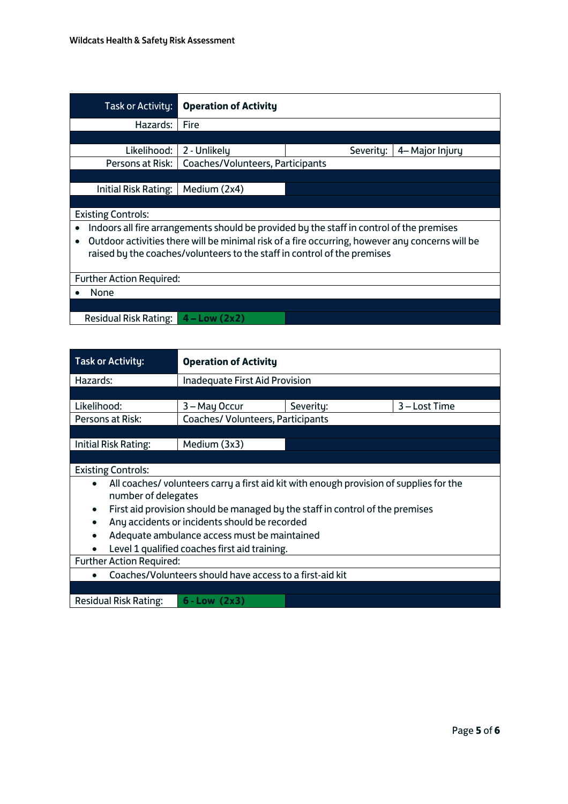| Task or Activity:                                                                                            | <b>Operation of Activity</b>                                             |           |                 |  |  |  |
|--------------------------------------------------------------------------------------------------------------|--------------------------------------------------------------------------|-----------|-----------------|--|--|--|
| Hazards:                                                                                                     | Fire                                                                     |           |                 |  |  |  |
|                                                                                                              |                                                                          |           |                 |  |  |  |
| Likelihood:                                                                                                  | 2 - Unlikely                                                             | Severity: | 4– Major Injury |  |  |  |
| Persons at Risk:                                                                                             | Coaches/Volunteers, Participants                                         |           |                 |  |  |  |
|                                                                                                              |                                                                          |           |                 |  |  |  |
| Initial Risk Rating:                                                                                         | Medium (2x4)                                                             |           |                 |  |  |  |
|                                                                                                              |                                                                          |           |                 |  |  |  |
| <b>Existing Controls:</b>                                                                                    |                                                                          |           |                 |  |  |  |
| Indoors all fire arrangements should be provided by the staff in control of the premises<br>$\bullet$        |                                                                          |           |                 |  |  |  |
| Outdoor activities there will be minimal risk of a fire occurring, however any concerns will be<br>$\bullet$ |                                                                          |           |                 |  |  |  |
|                                                                                                              | raised by the coaches/volunteers to the staff in control of the premises |           |                 |  |  |  |
|                                                                                                              |                                                                          |           |                 |  |  |  |
| <b>Further Action Required:</b>                                                                              |                                                                          |           |                 |  |  |  |
| None                                                                                                         |                                                                          |           |                 |  |  |  |
|                                                                                                              |                                                                          |           |                 |  |  |  |
| <b>Residual Risk Rating:</b>                                                                                 | $4 - Low (2x2)$                                                          |           |                 |  |  |  |

| Task or Activity:                                                                          | <b>Operation of Activity</b>                                                                                  |           |               |  |  |
|--------------------------------------------------------------------------------------------|---------------------------------------------------------------------------------------------------------------|-----------|---------------|--|--|
| Hazards:                                                                                   | <b>Inadequate First Aid Provision</b>                                                                         |           |               |  |  |
|                                                                                            |                                                                                                               |           |               |  |  |
| Likelihood:                                                                                | 3 – May Occur                                                                                                 | Severity: | 3 – Lost Time |  |  |
| Persons at Risk:                                                                           | Coaches/ Volunteers, Participants                                                                             |           |               |  |  |
|                                                                                            |                                                                                                               |           |               |  |  |
| Initial Risk Rating:                                                                       | Medium (3x3)                                                                                                  |           |               |  |  |
|                                                                                            |                                                                                                               |           |               |  |  |
| <b>Existing Controls:</b>                                                                  |                                                                                                               |           |               |  |  |
| $\bullet$                                                                                  | All coaches/volunteers carry a first aid kit with enough provision of supplies for the<br>number of delegates |           |               |  |  |
| First aid provision should be managed by the staff in control of the premises<br>$\bullet$ |                                                                                                               |           |               |  |  |
| Any accidents or incidents should be recorded<br>$\bullet$                                 |                                                                                                               |           |               |  |  |
| $\bullet$                                                                                  | Adequate ambulance access must be maintained                                                                  |           |               |  |  |
| Level 1 qualified coaches first aid training.                                              |                                                                                                               |           |               |  |  |
| <b>Further Action Required:</b>                                                            |                                                                                                               |           |               |  |  |
| Coaches/Volunteers should have access to a first-aid kit                                   |                                                                                                               |           |               |  |  |
|                                                                                            |                                                                                                               |           |               |  |  |
| <b>Residual Risk Rating:</b><br>$6 - Low (2x3)$                                            |                                                                                                               |           |               |  |  |